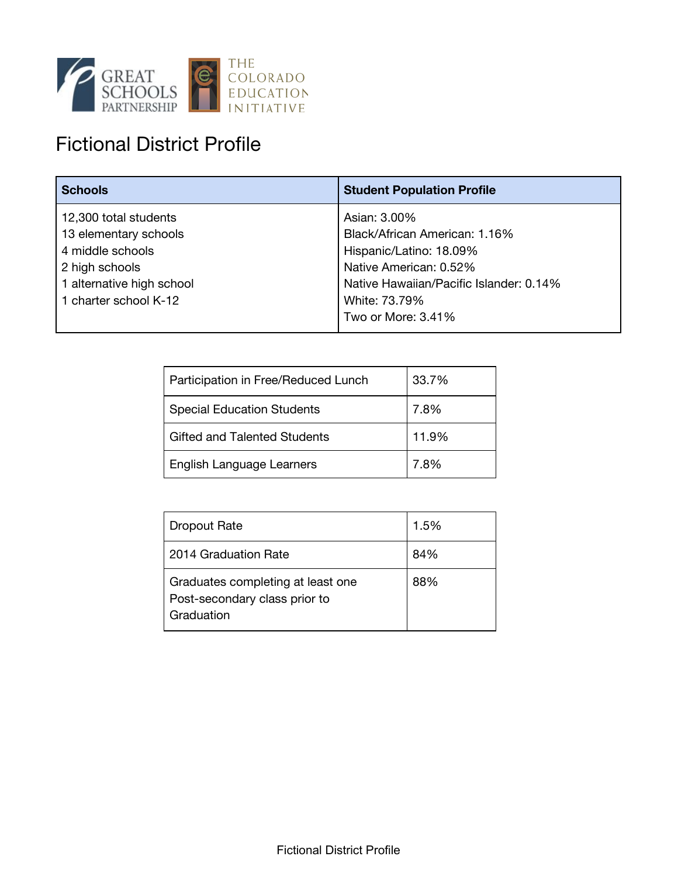

## Fictional District Profile

| <b>Schools</b>            | <b>Student Population Profile</b>       |
|---------------------------|-----------------------------------------|
| 12,300 total students     | Asian: 3.00%                            |
| 13 elementary schools     | Black/African American: 1.16%           |
| 4 middle schools          | Hispanic/Latino: 18.09%                 |
| 2 high schools            | Native American: 0.52%                  |
| 1 alternative high school | Native Hawaiian/Pacific Islander: 0.14% |
| 1 charter school K-12     | White: 73.79%                           |
|                           | Two or More: 3.41%                      |

| Participation in Free/Reduced Lunch | 33.7% |
|-------------------------------------|-------|
| <b>Special Education Students</b>   | 7.8%  |
| Gifted and Talented Students        | 11.9% |
| English Language Learners           | 7.8%  |

| <b>Dropout Rate</b>                                                              | 1.5% |
|----------------------------------------------------------------------------------|------|
| 2014 Graduation Rate                                                             | 84%  |
| Graduates completing at least one<br>Post-secondary class prior to<br>Graduation | 88%  |